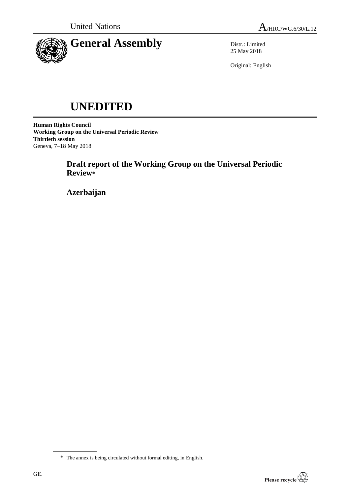



Distr.: Limited 25 May 2018

Original: English

# **UNEDITED**

**Human Rights Council Working Group on the Universal Periodic Review Thirtieth session** Geneva, 7–18 May 2018

> **Draft report of the Working Group on the Universal Periodic Review\***

**Azerbaijan**

<sup>\*</sup> The annex is being circulated without formal editing, in English.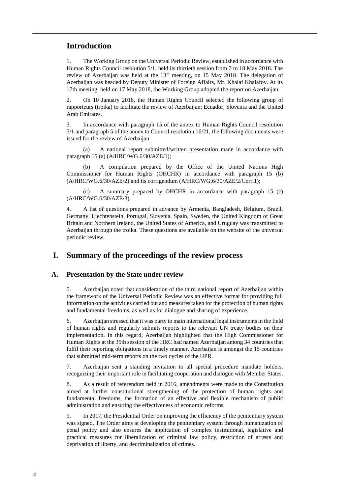# **Introduction**

1. The Working Group on the Universal Periodic Review, established in accordance with Human Rights Council resolution 5/1, held its thirtieth session from 7 to 18 May 2018. The review of Azerbaijan was held at the  $13<sup>th</sup>$  meeting, on 15 May 2018. The delegation of Azerbaijan was headed by Deputy Minister of Foreign Affairs, Mr. Khalaf Khalafov. At its 17th meeting, held on 17 May 2018, the Working Group adopted the report on Azerbaijan.

2. On 10 January 2018, the Human Rights Council selected the following group of rapporteurs (troika) to facilitate the review of Azerbaijan: Ecuador, Slovenia and the United Arab Emirates.

3. In accordance with paragraph 15 of the annex to Human Rights Council resolution 5/1 and paragraph 5 of the annex to Council resolution 16/21, the following documents were issued for the review of Azerbaijan:

(a) A national report submitted/written presentation made in accordance with paragraph 15 (a) (A/HRC/WG.6/30/AZE/1);

A compilation prepared by the Office of the United Nations High Commissioner for Human Rights (OHCHR) in accordance with paragraph 15 (b) (A/HRC/WG.6/30/AZE/2) and its corrigendum (A/HRC/WG.6/30/AZE/2/Corr.1);

(c) A summary prepared by OHCHR in accordance with paragraph 15 (c) (A/HRC/WG.6/30/AZE/3).

4. A list of questions prepared in advance by Armenia, Bangladesh, Belgium, Brazil, Germany, Liechtenstein, Portugal, Slovenia, Spain, Sweden, the United Kingdom of Great Britain and Northern Ireland, the United States of America, and Uruguay was transmitted to Azerbaijan through the troika. These questions are available on the website of the universal periodic review.

## **I. Summary of the proceedings of the review process**

#### **A. Presentation by the State under review**

5. Azerbaijan noted that consideration of the third national report of Azerbaijan within the framework of the Universal Periodic Review was an effective format for providing full information on the activities carried out and measures taken for the protection of human rights and fundamental freedoms, as well as for dialogue and sharing of experience.

6. Azerbaijan stressed that it was party to main international legal instruments in the field of human rights and regularly submits reports to the relevant UN treaty bodies on their implementation. In this regard, Azerbaijan highlighted that the High Commissioner for Human Rights at the 35th session of the HRC had named Azerbaijan among 34 countries that fulfil their reporting obligations in a timely manner. Azerbaijan is amongst the 15 countries that submitted mid-term reports on the two cycles of the UPR.

7. Azerbaijan sent a standing invitation to all special procedure mandate holders, recognizing their important role in facilitating cooperation and dialogue with Member States.

8. As a result of referendum held in 2016, amendments were made to the Constitution aimed at further constitutional strengthening of the protection of human rights and fundamental freedoms, the formation of an effective and flexible mechanism of public administration and ensuring the effectiveness of economic reforms.

9. In 2017, the Presidential Order on improving the efficiency of the penitentiary system was signed. The Order aims at developing the penitentiary system through humanization of penal policy and also ensures the application of complex institutional, legislative and practical measures for liberalization of criminal law policy, restriction of arrests and deprivation of liberty, and decriminalization of crimes.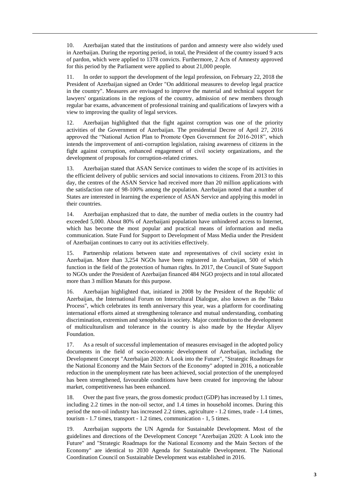10. Azerbaijan stated that the institutions of pardon and amnesty were also widely used in Azerbaijan. During the reporting period, in total, the President of the country issued 9 acts of pardon, which were applied to 1378 convicts. Furthermore, 2 Acts of Amnesty approved for this period by the Parliament were applied to about 21,000 people.

11. In order to support the development of the legal profession, on February 22, 2018 the President of Azerbaijan signed an Order "On additional measures to develop legal practice in the country". Measures are envisaged to improve the material and technical support for lawyers' organizations in the regions of the country, admission of new members through regular bar exams, advancement of professional training and qualifications of lawyers with a view to improving the quality of legal services.

12. Azerbaijan highlighted that the fight against corruption was one of the priority activities of the Government of Azerbaijan. The presidential Decree of April 27, 2016 approved the "National Action Plan to Promote Open Government for 2016-2018", which intends the improvement of anti-corruption legislation, raising awareness of citizens in the fight against corruption, enhanced engagement of civil society organizations, and the development of proposals for corruption-related crimes.

13. Azerbaijan stated that ASAN Service continues to widen the scope of its activities in the efficient delivery of public services and social innovations to citizens. From 2013 to this day, the centres of the ASAN Service had received more than 20 million applications with the satisfaction rate of 98-100% among the population. Azerbaijan noted that a number of States are interested in learning the experience of ASAN Service and applying this model in their countries.

14. Azerbaijan emphasized that to date, the number of media outlets in the country had exceeded 5,000. About 80% of Azerbaijani population have unhindered access to Internet, which has become the most popular and practical means of information and media communication. State Fund for Support to Development of Mass Media under the President of Azerbaijan continues to carry out its activities effectively.

15. Partnership relations between state and representatives of civil society exist in Azerbaijan. More than 3,254 NGOs have been registered in Azerbaijan, 500 of which function in the field of the protection of human rights. In 2017, the Council of State Support to NGOs under the President of Azerbaijan financed 484 NGO projects and in total allocated more than 3 million Manats for this purpose.

16. Azerbaijan highlighted that, initiated in 2008 by the President of the Republic of Azerbaijan, the International Forum on Intercultural Dialogue, also known as the "Baku Process", which celebrates its tenth anniversary this year, was a platform for coordinating international efforts aimed at strengthening tolerance and mutual understanding, combating discrimination, extremism and xenophobia in society. Major contribution to the development of multiculturalism and tolerance in the country is also made by the Heydar Aliyev Foundation.

17. As a result of successful implementation of measures envisaged in the adopted policy documents in the field of socio-economic development of Azerbaijan, including the Development Concept "Azerbaijan 2020: A Look into the Future", "Strategic Roadmaps for the National Economy and the Main Sectors of the Economy" adopted in 2016, a noticeable reduction in the unemployment rate has been achieved, social protection of the unemployed has been strengthened, favourable conditions have been created for improving the labour market, competitiveness has been enhanced.

18. Over the past five years, the gross domestic product (GDP) has increased by 1.1 times, including 2.2 times in the non-oil sector, and 1.4 times in household incomes. During this period the non-oil industry has increased 2.2 times, agriculture - 1.2 times, trade - 1.4 times, tourism - 1.7 times, transport - 1.2 times, communication - 1, 5 times.

19. Azerbaijan supports the UN Agenda for Sustainable Development. Most of the guidelines and directions of the Development Concept "Azerbaijan 2020: A Look into the Future" and "Strategic Roadmaps for the National Economy and the Main Sectors of the Economy" are identical to 2030 Agenda for Sustainable Development. The National Coordination Council on Sustainable Development was established in 2016.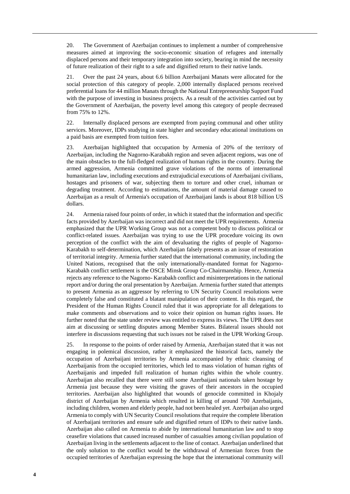20. The Government of Azerbaijan continues to implement a number of comprehensive measures aimed at improving the socio-economic situation of refugees and internally displaced persons and their temporary integration into society, bearing in mind the necessity of future realization of their right to a safe and dignified return to their native lands.

21. Over the past 24 years, about 6.6 billion Azerbaijani Manats were allocated for the social protection of this category of people. 2,000 internally displaced persons received preferential loans for 44 million Manats through the National Entrepreneurship Support Fund with the purpose of investing in business projects. As a result of the activities carried out by the Government of Azerbaijan, the poverty level among this category of people decreased from 75% to 12%.

22. Internally displaced persons are exempted from paying communal and other utility services. Moreover, IDPs studying in state higher and secondary educational institutions on a paid basis are exempted from tuition fees.

23. Azerbaijan highlighted that occupation by Armenia of 20% of the territory of Azerbaijan, including the Nagorno-Karabakh region and seven adjacent regions, was one of the main obstacles to the full-fledged realization of human rights in the country. During the armed aggression, Armenia committed grave violations of the norms of international humanitarian law, including executions and extrajudicial executions of Azerbaijani civilians, hostages and prisoners of war, subjecting them to torture and other cruel, inhuman or degrading treatment. According to estimations, the amount of material damage caused to Azerbaijan as a result of Armenia's occupation of Azerbaijani lands is about 818 billion US dollars.

24. Armenia raised four points of order, in which it stated that the information and specific facts provided by Azerbaijan was incorrect and did not meet the UPR requirements. Armenia emphasized that the UPR Working Group was not a competent body to discuss political or conflict-related issues. Azerbaijan was trying to use the UPR procedure voicing its own perception of the conflict with the aim of devaluating the rights of people of Nagorno-Karabakh to self-determination, which Azerbaijan falsely presents as an issue of restoration of territorial integrity. Armenia further stated that the international community, including the United Nations, recognised that the only internationally-mandated format for Nagorno-Karabakh conflict settlement is the OSCE Minsk Group Co-Chairmanship. Hence, Armenia rejects any reference to the Nagorno- Karabakh conflict and misinterpretations in the national report and/or during the oral presentation by Azerbaijan. Armenia further stated that attempts to present Armenia as an aggressor by referring to UN Security Council resolutions were completely false and constituted a blatant manipulation of their content. In this regard, the President of the Human Rights Council ruled that it was appropriate for all delegations to make comments and observations and to voice their opinion on human rights issues. He further noted that the state under review was entitled to express its views. The UPR does not aim at discussing or settling disputes among Member States. Bilateral issues should not interfere in discussions requesting that such issues not be raised in the UPR Working Group.

25. In response to the points of order raised by Armenia, Azerbaijan stated that it was not engaging in polemical discussion, rather it emphasized the historical facts, namely the occupation of Azerbaijani territories by Armenia accompanied by ethnic cleansing of Azerbaijanis from the occupied territories, which led to mass violation of human rights of Azerbaijanis and impeded full realization of human rights within the whole country. Azerbaijan also recalled that there were still some Azerbaijani nationals taken hostage by Armenia just because they were visiting the graves of their ancestors in the occupied territories. Azerbaijan also highlighted that wounds of genocide committed in Khojaly district of Azerbaijan by Armenia which resulted in killing of around 700 Azerbaijanis, including children, women and elderly people, had not been healed yet. Azerbaijan also urged Armenia to comply with UN Security Council resolutions that require the complete liberation of Azerbaijani territories and ensure safe and dignified return of IDPs to their native lands. Azerbaijan also called on Armenia to abide by international humanitarian law and to stop ceasefire violations that caused increased number of casualties among civilian population of Azerbaijan living in the settlements adjacent to the line of contact. Azerbaijan underlined that the only solution to the conflict would be the withdrawal of Armenian forces from the occupied territories of Azerbaijan expressing the hope that the international community will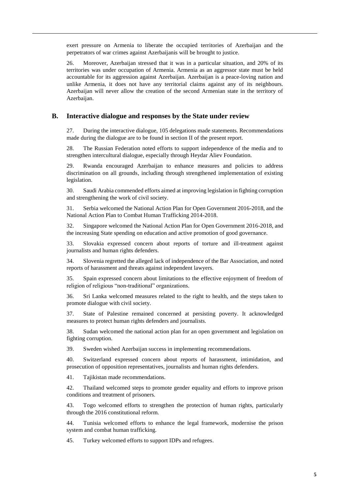exert pressure on Armenia to liberate the occupied territories of Azerbaijan and the perpetrators of war crimes against Azerbaijanis will be brought to justice.

26. Moreover, Azerbaijan stressed that it was in a particular situation, and 20% of its territories was under occupation of Armenia. Armenia as an aggressor state must be held accountable for its aggression against Azerbaijan. Azerbaijan is a peace-loving nation and unlike Armenia, it does not have any territorial claims against any of its neighbours. Azerbaijan will never allow the creation of the second Armenian state in the territory of Azerbaijan.

#### **B. Interactive dialogue and responses by the State under review**

27. During the interactive dialogue, 105 delegations made statements. Recommendations made during the dialogue are to be found in section II of the present report.

28. The Russian Federation noted efforts to support independence of the media and to strengthen intercultural dialogue, especially through Heydar Aliev Foundation.

29. Rwanda encouraged Azerbaijan to enhance measures and policies to address discrimination on all grounds, including through strengthened implementation of existing legislation.

30. Saudi Arabia commended efforts aimed at improving legislation in fighting corruption and strengthening the work of civil society.

31. Serbia welcomed the National Action Plan for Open Government 2016-2018, and the National Action Plan to Combat Human Trafficking 2014-2018.

32. Singapore welcomed the National Action Plan for Open Government 2016-2018, and the increasing State spending on education and active promotion of good governance.

33. Slovakia expressed concern about reports of torture and ill-treatment against journalists and human rights defenders.

34. Slovenia regretted the alleged lack of independence of the Bar Association, and noted reports of harassment and threats against independent lawyers.

35. Spain expressed concern about limitations to the effective enjoyment of freedom of religion of religious "non-traditional" organizations.

36. Sri Lanka welcomed measures related to the right to health, and the steps taken to promote dialogue with civil society.

37. State of Palestine remained concerned at persisting poverty. It acknowledged measures to protect human rights defenders and journalists.

38. Sudan welcomed the national action plan for an open government and legislation on fighting corruption.

39. Sweden wished Azerbaijan success in implementing recommendations.

40. Switzerland expressed concern about reports of harassment, intimidation, and prosecution of opposition representatives, journalists and human rights defenders.

41. Tajikistan made recommendations.

42. Thailand welcomed steps to promote gender equality and efforts to improve prison conditions and treatment of prisoners.

43. Togo welcomed efforts to strengthen the protection of human rights, particularly through the 2016 constitutional reform.

44. Tunisia welcomed efforts to enhance the legal framework, modernise the prison system and combat human trafficking.

45. Turkey welcomed efforts to support IDPs and refugees.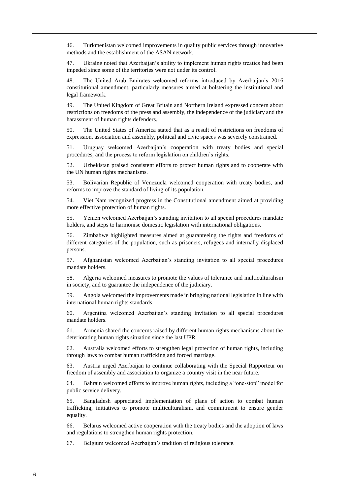46. Turkmenistan welcomed improvements in quality public services through innovative methods and the establishment of the ASAN network.

47. Ukraine noted that Azerbaijan's ability to implement human rights treaties had been impeded since some of the territories were not under its control.

48. The United Arab Emirates welcomed reforms introduced by Azerbaijan's 2016 constitutional amendment, particularly measures aimed at bolstering the institutional and legal framework.

49. The United Kingdom of Great Britain and Northern Ireland expressed concern about restrictions on freedoms of the press and assembly, the independence of the judiciary and the harassment of human rights defenders.

50. The United States of America stated that as a result of restrictions on freedoms of expression, association and assembly, political and civic spaces was severely constrained.

51. Uruguay welcomed Azerbaijan's cooperation with treaty bodies and special procedures, and the process to reform legislation on children's rights.

52. Uzbekistan praised consistent efforts to protect human rights and to cooperate with the UN human rights mechanisms.

53. Bolivarian Republic of Venezuela welcomed cooperation with treaty bodies, and reforms to improve the standard of living of its population.

54. Viet Nam recognized progress in the Constitutional amendment aimed at providing more effective protection of human rights.

55. Yemen welcomed Azerbaijan's standing invitation to all special procedures mandate holders, and steps to harmonise domestic legislation with international obligations.

56. Zimbabwe highlighted measures aimed at guaranteeing the rights and freedoms of different categories of the population, such as prisoners, refugees and internally displaced persons.

57. Afghanistan welcomed Azerbaijan's standing invitation to all special procedures mandate holders.

58. Algeria welcomed measures to promote the values of tolerance and multiculturalism in society, and to guarantee the independence of the judiciary.

59. Angola welcomed the improvements made in bringing national legislation in line with international human rights standards.

60. Argentina welcomed Azerbaijan's standing invitation to all special procedures mandate holders.

61. Armenia shared the concerns raised by different human rights mechanisms about the deteriorating human rights situation since the last UPR.

62. Australia welcomed efforts to strengthen legal protection of human rights, including through laws to combat human trafficking and forced marriage.

63. Austria urged Azerbaijan to continue collaborating with the Special Rapporteur on freedom of assembly and association to organize a country visit in the near future.

64. Bahrain welcomed efforts to improve human rights, including a "one-stop" model for public service delivery.

65. Bangladesh appreciated implementation of plans of action to combat human trafficking, initiatives to promote multiculturalism, and commitment to ensure gender equality.

66. Belarus welcomed active cooperation with the treaty bodies and the adoption of laws and regulations to strengthen human rights protection.

67. Belgium welcomed Azerbaijan's tradition of religious tolerance.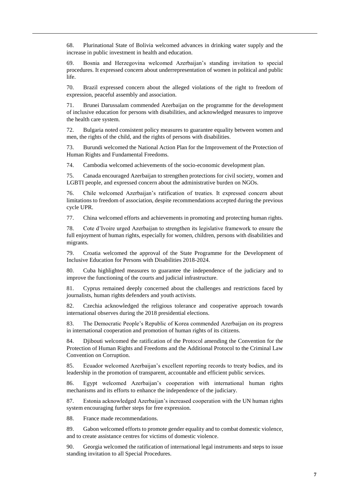68. Plurinational State of Bolivia welcomed advances in drinking water supply and the increase in public investment in health and education.

69. Bosnia and Herzegovina welcomed Azerbaijan's standing invitation to special procedures. It expressed concern about underrepresentation of women in political and public life.

70. Brazil expressed concern about the alleged violations of the right to freedom of expression, peaceful assembly and association.

71. Brunei Darussalam commended Azerbaijan on the programme for the development of inclusive education for persons with disabilities, and acknowledged measures to improve the health care system.

72. Bulgaria noted consistent policy measures to guarantee equality between women and men, the rights of the child, and the rights of persons with disabilities.

73. Burundi welcomed the National Action Plan for the Improvement of the Protection of Human Rights and Fundamental Freedoms.

74. Cambodia welcomed achievements of the socio-economic development plan.

75. Canada encouraged Azerbaijan to strengthen protections for civil society, women and LGBTI people, and expressed concern about the administrative burden on NGOs.

76. Chile welcomed Azerbaijan's ratification of treaties. It expressed concern about limitations to freedom of association, despite recommendations accepted during the previous cycle UPR.

77. China welcomed efforts and achievements in promoting and protecting human rights.

78. Cote d'Ivoire urged Azerbaijan to strengthen its legislative framework to ensure the full enjoyment of human rights, especially for women, children, persons with disabilities and migrants.

79. Croatia welcomed the approval of the State Programme for the Development of Inclusive Education for Persons with Disabilities 2018-2024.

80. Cuba highlighted measures to guarantee the independence of the judiciary and to improve the functioning of the courts and judicial infrastructure.

81. Cyprus remained deeply concerned about the challenges and restrictions faced by journalists, human rights defenders and youth activists.

82. Czechia acknowledged the religious tolerance and cooperative approach towards international observes during the 2018 presidential elections.

83. The Democratic People's Republic of Korea commended Azerbaijan on its progress in international cooperation and promotion of human rights of its citizens.

84. Djibouti welcomed the ratification of the Protocol amending the Convention for the Protection of Human Rights and Freedoms and the Additional Protocol to the Criminal Law Convention on Corruption.

85. Ecuador welcomed Azerbaijan's excellent reporting records to treaty bodies, and its leadership in the promotion of transparent, accountable and efficient public services.

86. Egypt welcomed Azerbaijan's cooperation with international human rights mechanisms and its efforts to enhance the independence of the judiciary.

87. Estonia acknowledged Azerbaijan's increased cooperation with the UN human rights system encouraging further steps for free expression.

88. France made recommendations.

89. Gabon welcomed efforts to promote gender equality and to combat domestic violence, and to create assistance centres for victims of domestic violence.

90. Georgia welcomed the ratification of international legal instruments and steps to issue standing invitation to all Special Procedures.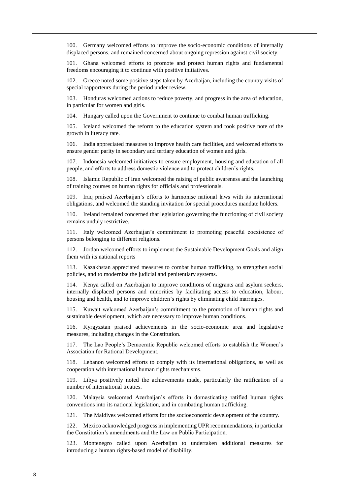100. Germany welcomed efforts to improve the socio-economic conditions of internally displaced persons, and remained concerned about ongoing repression against civil society.

101. Ghana welcomed efforts to promote and protect human rights and fundamental freedoms encouraging it to continue with positive initiatives.

102. Greece noted some positive steps taken by Azerbaijan, including the country visits of special rapporteurs during the period under review.

103. Honduras welcomed actions to reduce poverty, and progress in the area of education, in particular for women and girls.

104. Hungary called upon the Government to continue to combat human trafficking.

105. Iceland welcomed the reform to the education system and took positive note of the growth in literacy rate.

106. India appreciated measures to improve health care facilities, and welcomed efforts to ensure gender parity in secondary and tertiary education of women and girls.

107. Indonesia welcomed initiatives to ensure employment, housing and education of all people, and efforts to address domestic violence and to protect children's rights.

Islamic Republic of Iran welcomed the raising of public awareness and the launching of training courses on human rights for officials and professionals.

109. Iraq praised Azerbaijan's efforts to harmonise national laws with its international obligations, and welcomed the standing invitation for special procedures mandate holders.

110. Ireland remained concerned that legislation governing the functioning of civil society remains unduly restrictive.

111. Italy welcomed Azerbaijan's commitment to promoting peaceful coexistence of persons belonging to different religions.

112. Jordan welcomed efforts to implement the Sustainable Development Goals and align them with its national reports

113. Kazakhstan appreciated measures to combat human trafficking, to strengthen social policies, and to modernize the judicial and penitentiary systems.

Kenya called on Azerbaijan to improve conditions of migrants and asylum seekers, internally displaced persons and minorities by facilitating access to education, labour, housing and health, and to improve children's rights by eliminating child marriages.

115. Kuwait welcomed Azerbaijan's commitment to the promotion of human rights and sustainable development, which are necessary to improve human conditions.

116. Kyrgyzstan praised achievements in the socio-economic area and legislative measures, including changes in the Constitution.

117. The Lao People's Democratic Republic welcomed efforts to establish the Women's Association for Rational Development.

118. Lebanon welcomed efforts to comply with its international obligations, as well as cooperation with international human rights mechanisms.

119. Libya positively noted the achievements made, particularly the ratification of a number of international treaties.

120. Malaysia welcomed Azerbaijan's efforts in domesticating ratified human rights conventions into its national legislation, and in combating human trafficking.

121. The Maldives welcomed efforts for the socioeconomic development of the country.

122. Mexico acknowledged progress in implementing UPR recommendations, in particular the Constitution's amendments and the Law on Public Participation.

123. Montenegro called upon Azerbaijan to undertaken additional measures for introducing a human rights-based model of disability.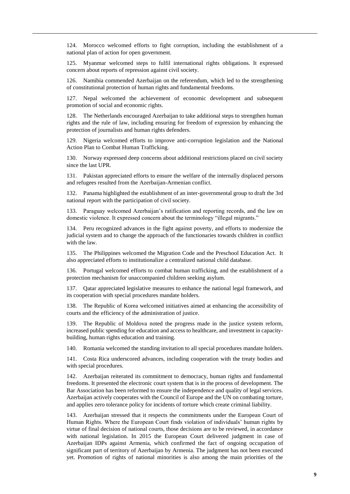124. Morocco welcomed efforts to fight corruption, including the establishment of a national plan of action for open government.

125. Myanmar welcomed steps to fulfil international rights obligations. It expressed concern about reports of repression against civil society.

126. Namibia commended Azerbaijan on the referendum, which led to the strengthening of constitutional protection of human rights and fundamental freedoms.

127. Nepal welcomed the achievement of economic development and subsequent promotion of social and economic rights.

128. The Netherlands encouraged Azerbaijan to take additional steps to strengthen human rights and the rule of law, including ensuring for freedom of expression by enhancing the protection of journalists and human rights defenders.

129. Nigeria welcomed efforts to improve anti-corruption legislation and the National Action Plan to Combat Human Trafficking.

130. Norway expressed deep concerns about additional restrictions placed on civil society since the last UPR.

131. Pakistan appreciated efforts to ensure the welfare of the internally displaced persons and refugees resulted from the Azerbaijan-Armenian conflict.

132. Panama highlighted the establishment of an inter-governmental group to draft the 3rd national report with the participation of civil society.

133. Paraguay welcomed Azerbaijan's ratification and reporting records, and the law on domestic violence. It expressed concern about the terminology "illegal migrants."

134. Peru recognized advances in the fight against poverty, and efforts to modernize the judicial system and to change the approach of the functionaries towards children in conflict with the law.

135. The Philippines welcomed the Migration Code and the Preschool Education Act. It also appreciated efforts to institutionalize a centralized national child database.

136. Portugal welcomed efforts to combat human trafficking, and the establishment of a protection mechanism for unaccompanied children seeking asylum.

137. Qatar appreciated legislative measures to enhance the national legal framework, and its cooperation with special procedures mandate holders.

138. The Republic of Korea welcomed initiatives aimed at enhancing the accessibility of courts and the efficiency of the administration of justice.

139. The Republic of Moldova noted the progress made in the justice system reform, increased public spending for education and access to healthcare, and investment in capacitybuilding, human rights education and training.

140. Romania welcomed the standing invitation to all special procedures mandate holders.

141. Costa Rica underscored advances, including cooperation with the treaty bodies and with special procedures.

142. Azerbaijan reiterated its commitment to democracy, human rights and fundamental freedoms. It presented the electronic court system that is in the process of development. The Bar Association has been reformed to ensure the independence and quality of legal services. Azerbaijan actively cooperates with the Council of Europe and the UN on combating torture, and applies zero tolerance policy for incidents of torture which create criminal liability.

143. Azerbaijan stressed that it respects the commitments under the European Court of Human Rights. Where the European Court finds violation of individuals' human rights by virtue of final decision of national courts, those decisions are to be reviewed, in accordance with national legislation. In 2015 the European Court delivered judgment in case of Azerbaijan IDPs against Armenia, which confirmed the fact of ongoing occupation of significant part of territory of Azerbaijan by Armenia. The judgment has not been executed yet. Promotion of rights of national minorities is also among the main priorities of the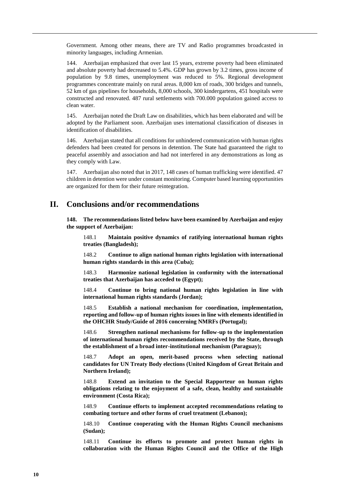Government. Among other means, there are TV and Radio programmes broadcasted in minority languages, including Armenian.

144. Azerbaijan emphasized that over last 15 years, extreme poverty had been eliminated and absolute poverty had decreased to 5.4%. GDP has grown by 3.2 times, gross income of population by 9.8 times, unemployment was reduced to 5%. Regional development programmes concentrate mainly on rural areas. 8,000 km of roads, 300 bridges and tunnels, 52 km of gas pipelines for households, 8,000 schools, 300 kindergartens, 451 hospitals were constructed and renovated. 487 rural settlements with 700.000 population gained access to clean water.

145. Azerbaijan noted the Draft Law on disabilities, which has been elaborated and will be adopted by the Parliament soon. Azerbaijan uses international classification of diseases in identification of disabilities.

146. Azerbaijan stated that all conditions for unhindered communication with human rights defenders had been created for persons in detention. The State had guaranteed the right to peaceful assembly and association and had not interfered in any demonstrations as long as they comply with Law.

147. Azerbaijan also noted that in 2017, 148 cases of human trafficking were identified. 47 children in detention were under constant monitoring. Computer based learning opportunities are organized for them for their future reintegration.

## **II. Conclusions and/or recommendations**

**148. The recommendations listed below have been examined by Azerbaijan and enjoy the support of Azerbaijan:**

148.1 **Maintain positive dynamics of ratifying international human rights treaties (Bangladesh);**

148.2 **Continue to align national human rights legislation with international human rights standards in this area (Cuba);**

148.3 **Harmonize national legislation in conformity with the international treaties that Azerbaijan has acceded to (Egypt);**

148.4 **Continue to bring national human rights legislation in line with international human rights standards (Jordan);**

148.5 **Establish a national mechanism for coordination, implementation, reporting and follow-up of human rights issues in line with elements identified in the OHCHR Study/Guide of 2016 concerning NMRFs (Portugal);**

148.6 **Strengthen national mechanisms for follow-up to the implementation of international human rights recommendations received by the State, through the establishment of a broad inter-institutional mechanism (Paraguay);**

148.7 **Adopt an open, merit-based process when selecting national candidates for UN Treaty Body elections (United Kingdom of Great Britain and Northern Ireland);**

148.8 **Extend an invitation to the Special Rapporteur on human rights obligations relating to the enjoyment of a safe, clean, healthy and sustainable environment (Costa Rica);**

148.9 **Continue efforts to implement accepted recommendations relating to combating torture and other forms of cruel treatment (Lebanon);**

148.10 **Continue cooperating with the Human Rights Council mechanisms (Sudan);**

148.11 **Continue its efforts to promote and protect human rights in collaboration with the Human Rights Council and the Office of the High**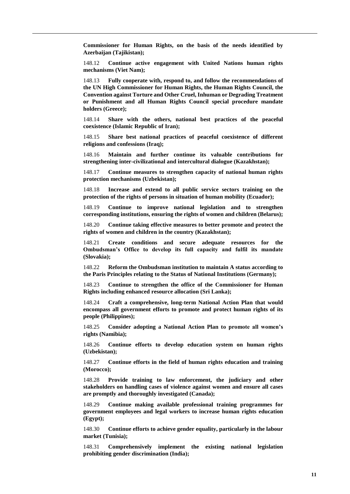**Commissioner for Human Rights, on the basis of the needs identified by Azerbaijan (Tajikistan);**

148.12 **Continue active engagement with United Nations human rights mechanisms (Viet Nam);**

148.13 **Fully cooperate with, respond to, and follow the recommendations of the UN High Commissioner for Human Rights, the Human Rights Council, the Convention against Torture and Other Cruel, Inhuman or Degrading Treatment or Punishment and all Human Rights Council special procedure mandate holders (Greece);**

148.14 **Share with the others, national best practices of the peaceful coexistence (Islamic Republic of Iran);**

148.15 **Share best national practices of peaceful coexistence of different religions and confessions (Iraq);**

148.16 **Maintain and further continue its valuable contributions for strengthening inter-civilizational and intercultural dialogue (Kazakhstan);**

148.17 **Continue measures to strengthen capacity of national human rights protection mechanisms (Uzbekistan);**

148.18 **Increase and extend to all public service sectors training on the protection of the rights of persons in situation of human mobility (Ecuador);**

148.19 **Continue to improve national legislation and to strengthen corresponding institutions, ensuring the rights of women and children (Belarus);**

148.20 **Continue taking effective measures to better promote and protect the rights of women and children in the country (Kazakhstan);**

148.21 **Create conditions and secure adequate resources for the Ombudsman's Office to develop its full capacity and fulfil its mandate (Slovakia);**

148.22 **Reform the Ombudsman institution to maintain A status according to the Paris Principles relating to the Status of National Institutions (Germany);**

148.23 **Continue to strengthen the office of the Commissioner for Human Rights including enhanced resource allocation (Sri Lanka);**

148.24 **Craft a comprehensive, long-term National Action Plan that would encompass all government efforts to promote and protect human rights of its people (Philippines);**

148.25 **Consider adopting a National Action Plan to promote all women's rights (Namibia);**

148.26 **Continue efforts to develop education system on human rights (Uzbekistan);**

148.27 **Continue efforts in the field of human rights education and training (Morocco);**

148.28 **Provide training to law enforcement, the judiciary and other stakeholders on handling cases of violence against women and ensure all cases are promptly and thoroughly investigated (Canada);**

148.29 **Continue making available professional training programmes for government employees and legal workers to increase human rights education (Egypt);**

148.30 **Continue efforts to achieve gender equality, particularly in the labour market (Tunisia);**

148.31 **Comprehensively implement the existing national legislation prohibiting gender discrimination (India);**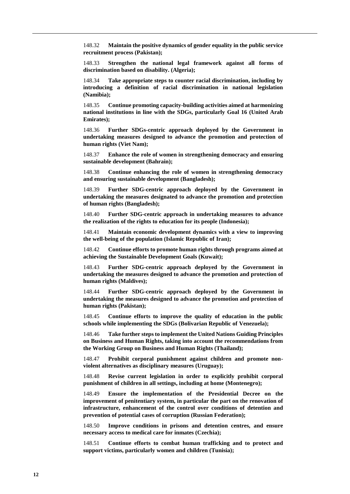148.32 **Maintain the positive dynamics of gender equality in the public service recruitment process (Pakistan);**

148.33 **Strengthen the national legal framework against all forms of discrimination based on disability. (Algeria);**

148.34 **Take appropriate steps to counter racial discrimination, including by introducing a definition of racial discrimination in national legislation (Namibia);**

148.35 **Continue promoting capacity-building activities aimed at harmonizing national institutions in line with the SDGs, particularly Goal 16 (United Arab Emirates);**

148.36 **Further SDGs-centric approach deployed by the Government in undertaking measures designed to advance the promotion and protection of human rights (Viet Nam);**

148.37 **Enhance the role of women in strengthening democracy and ensuring sustainable development (Bahrain);**

148.38 **Continue enhancing the role of women in strengthening democracy and ensuring sustainable development (Bangladesh);**

148.39 **Further SDG-centric approach deployed by the Government in undertaking the measures designated to advance the promotion and protection of human rights (Bangladesh);**

148.40 **Further SDG-centric approach in undertaking measures to advance the realization of the rights to education for its people (Indonesia);**

148.41 **Maintain economic development dynamics with a view to improving the well-being of the population (Islamic Republic of Iran);**

148.42 **Continue efforts to promote human rights through programs aimed at achieving the Sustainable Development Goals (Kuwait);**

148.43 **Further SDG-centric approach deployed by the Government in undertaking the measures designed to advance the promotion and protection of human rights (Maldives);**

148.44 **Further SDG-centric approach deployed by the Government in undertaking the measures designed to advance the promotion and protection of human rights (Pakistan);**

148.45 **Continue efforts to improve the quality of education in the public schools while implementing the SDGs (Bolivarian Republic of Venezuela);**

148.46 **Take further steps to implement the United Nations Guiding Principles on Business and Human Rights, taking into account the recommendations from the Working Group on Business and Human Rights (Thailand);**

148.47 **Prohibit corporal punishment against children and promote nonviolent alternatives as disciplinary measures (Uruguay);**

148.48 **Revise current legislation in order to explicitly prohibit corporal punishment of children in all settings, including at home (Montenegro);**

148.49 **Ensure the implementation of the Presidential Decree on the improvement of penitentiary system, in particular the part on the renovation of infrastructure, enhancement of the control over conditions of detention and prevention of potential cases of corruption (Russian Federation);**

148.50 **Improve conditions in prisons and detention centres, and ensure necessary access to medical care for inmates (Czechia);**

148.51 **Continue efforts to combat human trafficking and to protect and support victims, particularly women and children (Tunisia);**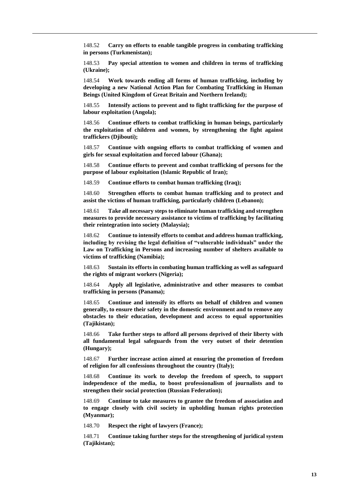148.52 **Carry on efforts to enable tangible progress in combating trafficking in persons (Turkmenistan);**

148.53 **Pay special attention to women and children in terms of trafficking (Ukraine);**

148.54 **Work towards ending all forms of human trafficking, including by developing a new National Action Plan for Combating Trafficking in Human Beings (United Kingdom of Great Britain and Northern Ireland);**

148.55 **Intensify actions to prevent and to fight trafficking for the purpose of labour exploitation (Angola);**

148.56 **Continue efforts to combat trafficking in human beings, particularly the exploitation of children and women, by strengthening the fight against traffickers (Djibouti);**

148.57 **Continue with ongoing efforts to combat trafficking of women and girls for sexual exploitation and forced labour (Ghana);**

148.58 **Continue efforts to prevent and combat trafficking of persons for the purpose of labour exploitation (Islamic Republic of Iran);**

148.59 **Continue efforts to combat human trafficking (Iraq);**

148.60 **Strengthen efforts to combat human trafficking and to protect and assist the victims of human trafficking, particularly children (Lebanon);**

148.61 **Take all necessary steps to eliminate human trafficking and strengthen measures to provide necessary assistance to victims of trafficking by facilitating their reintegration into society (Malaysia);**

148.62 **Continue to intensify efforts to combat and address human trafficking, including by revising the legal definition of "vulnerable individuals" under the Law on Trafficking in Persons and increasing number of shelters available to victims of trafficking (Namibia);**

148.63 **Sustain its efforts in combating human trafficking as well as safeguard the rights of migrant workers (Nigeria);**

148.64 **Apply all legislative, administrative and other measures to combat trafficking in persons (Panama);**

148.65 **Continue and intensify its efforts on behalf of children and women generally, to ensure their safety in the domestic environment and to remove any obstacles to their education, development and access to equal opportunities (Tajikistan);**

148.66 **Take further steps to afford all persons deprived of their liberty with all fundamental legal safeguards from the very outset of their detention (Hungary);**

148.67 **Further increase action aimed at ensuring the promotion of freedom of religion for all confessions throughout the country (Italy);**

148.68 **Continue its work to develop the freedom of speech, to support independence of the media, to boost professionalism of journalists and to strengthen their social protection (Russian Federation);**

148.69 **Continue to take measures to grantee the freedom of association and to engage closely with civil society in upholding human rights protection (Myanmar);**

148.70 **Respect the right of lawyers (France);**

148.71 **Continue taking further steps for the strengthening of juridical system (Tajikistan);**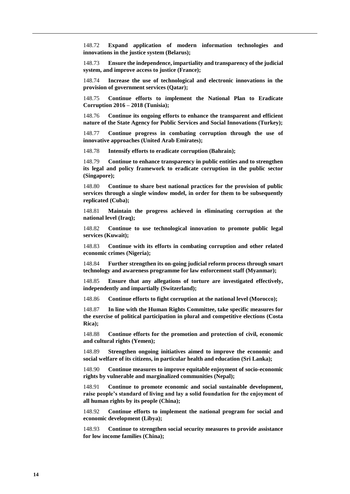148.72 **Expand application of modern information technologies and innovations in the justice system (Belarus);**

148.73 **Ensure the independence, impartiality and transparency of the judicial system, and improve access to justice (France);**

148.74 **Increase the use of technological and electronic innovations in the provision of government services (Qatar);**

148.75 **Continue efforts to implement the National Plan to Eradicate Corruption 2016 – 2018 (Tunisia);**

148.76 **Continue its ongoing efforts to enhance the transparent and efficient nature of the State Agency for Public Services and Social Innovations (Turkey);**

148.77 **Continue progress in combating corruption through the use of innovative approaches (United Arab Emirates);**

148.78 **Intensify efforts to eradicate corruption (Bahrain);**

148.79 **Continue to enhance transparency in public entities and to strengthen its legal and policy framework to eradicate corruption in the public sector (Singapore);**

148.80 **Continue to share best national practices for the provision of public services through a single window model, in order for them to be subsequently replicated (Cuba);**

148.81 **Maintain the progress achieved in eliminating corruption at the national level (Iraq);**

148.82 **Continue to use technological innovation to promote public legal services (Kuwait);**

148.83 **Continue with its efforts in combating corruption and other related economic crimes (Nigeria);**

148.84 **Further strengthen its on-going judicial reform process through smart technology and awareness programme for law enforcement staff (Myanmar);**

148.85 **Ensure that any allegations of torture are investigated effectively, independently and impartially (Switzerland);**

148.86 **Continue efforts to fight corruption at the national level (Morocco);**

148.87 **In line with the Human Rights Committee, take specific measures for the exercise of political participation in plural and competitive elections (Costa Rica);**

148.88 **Continue efforts for the promotion and protection of civil, economic and cultural rights (Yemen);**

148.89 **Strengthen ongoing initiatives aimed to improve the economic and social welfare of its citizens, in particular health and education (Sri Lanka);**

148.90 **Continue measures to improve equitable enjoyment of socio-economic rights by vulnerable and marginalized communities (Nepal);**

148.91 **Continue to promote economic and social sustainable development, raise people's standard of living and lay a solid foundation for the enjoyment of all human rights by its people (China);**

148.92 **Continue efforts to implement the national program for social and economic development (Libya);**

148.93 **Continue to strengthen social security measures to provide assistance for low income families (China);**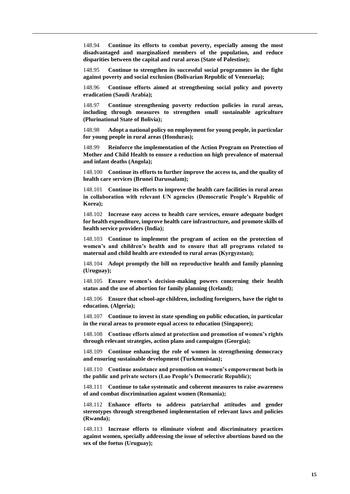148.94 **Continue its efforts to combat poverty, especially among the most disadvantaged and marginalized members of the population, and reduce disparities between the capital and rural areas (State of Palestine);**

148.95 **Continue to strengthen its successful social programmes in the fight against poverty and social exclusion (Bolivarian Republic of Venezuela);**

148.96 **Continue efforts aimed at strengthening social policy and poverty eradication (Saudi Arabia);**

148.97 **Continue strengthening poverty reduction policies in rural areas, including through measures to strengthen small sustainable agriculture (Plurinational State of Bolivia);**

148.98 **Adopt a national policy on employment for young people, in particular for young people in rural areas (Honduras);**

148.99 **Reinforce the implementation of the Action Program on Protection of Mother and Child Health to ensure a reduction on high prevalence of maternal and infant deaths (Angola);**

148.100 **Continue its efforts to further improve the access to, and the quality of health care services (Brunei Darussalam);**

148.101 **Continue its efforts to improve the health care facilities in rural areas in collaboration with relevant UN agencies (Democratic People's Republic of Korea);**

148.102 **Increase easy access to health care services, ensure adequate budget for health expenditure, improve health care infrastructure, and promote skills of health service providers (India);**

148.103 **Continue to implement the program of action on the protection of women's and children's health and to ensure that all programs related to maternal and child health are extended to rural areas (Kyrgyzstan);**

148.104 **Adopt promptly the bill on reproductive health and family planning (Uruguay);**

148.105 **Ensure women's decision-making powers concerning their health status and the use of abortion for family planning (Iceland);**

148.106 **Ensure that school-age children, including foreigners, have the right to education. (Algeria);**

148.107 **Continue to invest in state spending on public education, in particular in the rural areas to promote equal access to education (Singapore);**

148.108 **Continue efforts aimed at protection and promotion of women's rights through relevant strategies, action plans and campaigns (Georgia);**

148.109 **Continue enhancing the role of women in strengthening democracy and ensuring sustainable development (Turkmenistan);**

148.110 **Continue assistance and promotion on women's empowerment both in the public and private sectors (Lao People's Democratic Republic);**

148.111 **Continue to take systematic and coherent measures to raise awareness of and combat discrimination against women (Romania);**

148.112 **Enhance efforts to address patriarchal attitudes and gender stereotypes through strengthened implementation of relevant laws and policies (Rwanda);**

148.113 **Increase efforts to eliminate violent and discriminatory practices against women, specially addressing the issue of selective abortions based on the sex of the foetus (Uruguay);**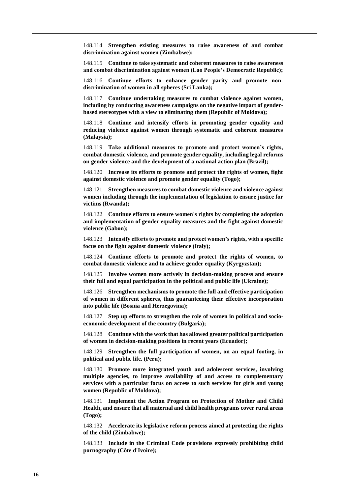148.114 **Strengthen existing measures to raise awareness of and combat discrimination against women (Zimbabwe);**

148.115 **Continue to take systematic and coherent measures to raise awareness and combat discrimination against women (Lao People's Democratic Republic);**

148.116 **Continue efforts to enhance gender parity and promote nondiscrimination of women in all spheres (Sri Lanka);**

148.117 **Continue undertaking measures to combat violence against women, including by conducting awareness campaigns on the negative impact of genderbased stereotypes with a view to eliminating them (Republic of Moldova);**

148.118 **Continue and intensify efforts in promoting gender equality and reducing violence against women through systematic and coherent measures (Malaysia);**

148.119 **Take additional measures to promote and protect women's rights, combat domestic violence, and promote gender equality, including legal reforms on gender violence and the development of a national action plan (Brazil);**

148.120 **Increase its efforts to promote and protect the rights of women, fight against domestic violence and promote gender equality (Togo);**

148.121 **Strengthen measures to combat domestic violence and violence against women including through the implementation of legislation to ensure justice for victims (Rwanda);**

148.122 **Continue efforts to ensure women's rights by completing the adoption and implementation of gender equality measures and the fight against domestic violence (Gabon);**

148.123 **Intensify efforts to promote and protect women's rights, with a specific focus on the fight against domestic violence (Italy);**

148.124 **Continue efforts to promote and protect the rights of women, to combat domestic violence and to achieve gender equality (Kyrgyzstan);**

148.125 **Involve women more actively in decision-making process and ensure their full and equal participation in the political and public life (Ukraine);**

148.126 **Strengthen mechanisms to promote the full and effective participation of women in different spheres, thus guaranteeing their effective incorporation into public life (Bosnia and Herzegovina);**

148.127 **Step up efforts to strengthen the role of women in political and socioeconomic development of the country (Bulgaria);**

148.128 **Continue with the work that has allowed greater political participation of women in decision-making positions in recent years (Ecuador);**

148.129 **Strengthen the full participation of women, on an equal footing, in political and public life. (Peru);**

148.130 **Promote more integrated youth and adolescent services, involving multiple agencies, to improve availability of and access to complementary services with a particular focus on access to such services for girls and young women (Republic of Moldova);**

148.131 **Implement the Action Program on Protection of Mother and Child Health, and ensure that all maternal and child health programs cover rural areas (Togo);**

148.132 **Accelerate its legislative reform process aimed at protecting the rights of the child (Zimbabwe);**

148.133 **Include in the Criminal Code provisions expressly prohibiting child pornography (Côte d'Ivoire);**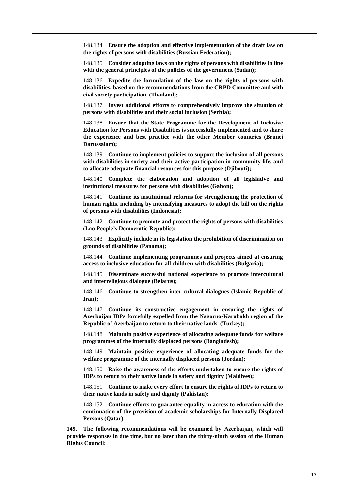148.134 **Ensure the adoption and effective implementation of the draft law on the rights of persons with disabilities (Russian Federation);**

148.135 **Consider adopting laws on the rights of persons with disabilities in line with the general principles of the policies of the government (Sudan);**

148.136 **Expedite the formulation of the law on the rights of persons with disabilities, based on the recommendations from the CRPD Committee and with civil society participation. (Thailand);**

148.137 **Invest additional efforts to comprehensively improve the situation of persons with disabilities and their social inclusion (Serbia);**

148.138 **Ensure that the State Programme for the Development of Inclusive Education for Persons with Disabilities is successfully implemented and to share the experience and best practice with the other Member countries (Brunei Darussalam);**

148.139 **Continue to implement policies to support the inclusion of all persons with disabilities in society and their active participation in community life, and to allocate adequate financial resources for this purpose (Djibouti);**

148.140 **Complete the elaboration and adoption of all legislative and institutional measures for persons with disabilities (Gabon);**

148.141 **Continue its institutional reforms for strengthening the protection of human rights, including by intensifying measures to adopt the bill on the rights of persons with disabilities (Indonesia);**

148.142 **Continue to promote and protect the rights of persons with disabilities (Lao People's Democratic Republic);**

148.143 **Explicitly include in its legislation the prohibition of discrimination on grounds of disabilities (Panama);**

148.144 **Continue implementing programmes and projects aimed at ensuring access to inclusive education for all children with disabilities (Bulgaria);**

148.145 **Disseminate successful national experience to promote intercultural and interreligious dialogue (Belarus);**

148.146 **Continue to strengthen inter-cultural dialogues (Islamic Republic of Iran);**

148.147 **Continue its constructive engagement in ensuring the rights of Azerbaijan IDPs forcefully expelled from the Nagorno-Karabakh region of the Republic of Azerbaijan to return to their native lands. (Turkey);**

148.148 **Maintain positive experience of allocating adequate funds for welfare programmes of the internally displaced persons (Bangladesh);**

148.149 **Maintain positive experience of allocating adequate funds for the welfare programme of the internally displaced persons (Jordan);**

148.150 **Raise the awareness of the efforts undertaken to ensure the rights of IDPs to return to their native lands in safety and dignity (Maldives);**

148.151 **Continue to make every effort to ensure the rights of IDPs to return to their native lands in safety and dignity (Pakistan);**

148.152 **Continue efforts to guarantee equality in access to education with the continuation of the provision of academic scholarships for Internally Displaced Persons (Qatar).**

**149. The following recommendations will be examined by Azerbaijan, which will provide responses in due time, but no later than the thirty-ninth session of the Human Rights Council:**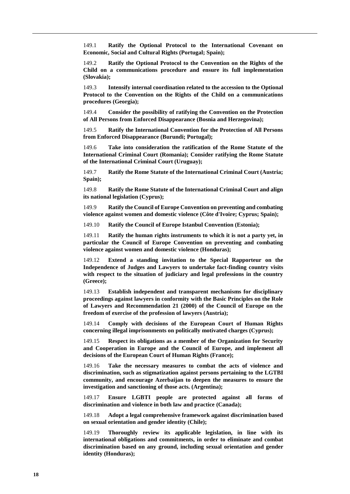149.1 **Ratify the Optional Protocol to the International Covenant on Economic, Social and Cultural Rights (Portugal; Spain);**

149.2 **Ratify the Optional Protocol to the Convention on the Rights of the Child on a communications procedure and ensure its full implementation (Slovakia);**

149.3 **Intensify internal coordination related to the accession to the Optional Protocol to the Convention on the Rights of the Child on a communications procedures (Georgia);**

149.4 **Consider the possibility of ratifying the Convention on the Protection of All Persons from Enforced Disappearance (Bosnia and Herzegovina);**

149.5 **Ratify the International Convention for the Protection of All Persons from Enforced Disappearance (Burundi; Portugal);**

149.6 **Take into consideration the ratification of the Rome Statute of the International Criminal Court (Romania); Consider ratifying the Rome Statute of the International Criminal Court (Uruguay);**

149.7 **Ratify the Rome Statute of the International Criminal Court (Austria; Spain);**

149.8 **Ratify the Rome Statute of the International Criminal Court and align its national legislation (Cyprus);**

149.9 **Ratify the Council of Europe Convention on preventing and combating violence against women and domestic violence (Côte d'Ivoire; Cyprus; Spain);**

149.10 **Ratify the Council of Europe Istanbul Convention (Estonia);**

149.11 **Ratify the human rights instruments to which it is not a party yet, in particular the Council of Europe Convention on preventing and combating violence against women and domestic violence (Honduras);**

149.12 **Extend a standing invitation to the Special Rapporteur on the Independence of Judges and Lawyers to undertake fact-finding country visits with respect to the situation of judiciary and legal professions in the country (Greece);**

149.13 **Establish independent and transparent mechanisms for disciplinary proceedings against lawyers in conformity with the Basic Principles on the Role of Lawyers and Recommendation 21 (2000) of the Council of Europe on the freedom of exercise of the profession of lawyers (Austria);**

149.14 **Comply with decisions of the European Court of Human Rights concerning illegal imprisonments on politically motivated charges (Cyprus);**

149.15 **Respect its obligations as a member of the Organization for Security and Cooperation in Europe and the Council of Europe, and implement all decisions of the European Court of Human Rights (France);**

149.16 **Take the necessary measures to combat the acts of violence and discrimination, such as stigmatization against persons pertaining to the LGTBI community, and encourage Azerbaijan to deepen the measures to ensure the investigation and sanctioning of those acts. (Argentina);**

149.17 **Ensure LGBTI people are protected against all forms of discrimination and violence in both law and practice (Canada);**

149.18 **Adopt a legal comprehensive framework against discrimination based on sexual orientation and gender identity (Chile);**

149.19 **Thoroughly review its applicable legislation, in line with its international obligations and commitments, in order to eliminate and combat discrimination based on any ground, including sexual orientation and gender identity (Honduras);**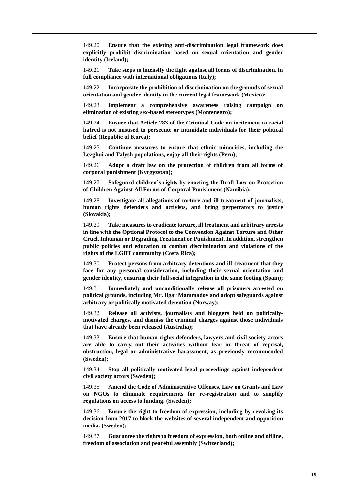149.20 **Ensure that the existing anti-discrimination legal framework does explicitly prohibit discrimination based on sexual orientation and gender identity (Iceland);**

149.21 **Take steps to intensify the fight against all forms of discrimination, in full compliance with international obligations (Italy);**

149.22 **Incorporate the prohibition of discrimination on the grounds of sexual orientation and gender identity in the current legal framework (Mexico);**

149.23 **Implement a comprehensive awareness raising campaign on elimination of existing sex-based stereotypes (Montenegro);**

149.24 **Ensure that Article 283 of the Criminal Code on incitement to racial hatred is not misused to persecute or intimidate individuals for their political belief (Republic of Korea);**

149.25 **Continue measures to ensure that ethnic minorities, including the Lezghui and Talysh populations, enjoy all their rights (Peru);**

149.26 **Adopt a draft law on the protection of children from all forms of corporal punishment (Kyrgyzstan);**

149.27 **Safeguard children's rights by enacting the Draft Law on Protection of Children Against All Forms of Corporal Punishment (Namibia);**

149.28 **Investigate all allegations of torture and ill treatment of journalists, human rights defenders and activists, and bring perpetrators to justice (Slovakia);**

149.29 **Take measures to eradicate torture, ill treatment and arbitrary arrests in line with the Optional Protocol to the Convention Against Torture and Other Cruel, Inhuman or Degrading Treatment or Punishment. In addition, strengthen public policies and education to combat discrimination and violations of the rights of the LGBT community (Costa Rica);**

149.30 **Protect persons from arbitrary detentions and ill-treatment that they face for any personal consideration, including their sexual orientation and gender identity, ensuring their full social integration in the same footing (Spain);**

149.31 **Immediately and unconditionally release all prisoners arrested on political grounds, including Mr. Ilgar Mammadov and adopt safeguards against arbitrary or politically motivated detention (Norway);**

149.32 **Release all activists, journalists and bloggers held on politicallymotivated charges, and dismiss the criminal charges against those individuals that have already been released (Australia);**

149.33 **Ensure that human rights defenders, lawyers and civil society actors are able to carry out their activities without fear or threat of reprisal, obstruction, legal or administrative harassment, as previously recommended (Sweden);**

149.34 **Stop all politically motivated legal proceedings against independent civil society actors (Sweden);**

149.35 **Amend the Code of Administrative Offenses, Law on Grants and Law on NGOs to eliminate requirements for re-registration and to simplify regulations on access to funding. (Sweden);**

149.36 **Ensure the right to freedom of expression, including by revoking its decision from 2017 to block the websites of several independent and opposition media. (Sweden);**

149.37 **Guarantee the rights to freedom of expression, both online and offline, freedom of association and peaceful assembly (Switzerland);**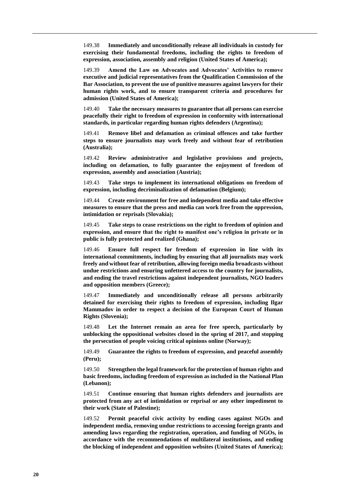149.38 **Immediately and unconditionally release all individuals in custody for exercising their fundamental freedoms, including the rights to freedom of expression, association, assembly and religion (United States of America);**

149.39 **Amend the Law on Advocates and Advocates' Activities to remove executive and judicial representatives from the Qualification Commission of the Bar Association, to prevent the use of punitive measures against lawyers for their human rights work, and to ensure transparent criteria and procedures for admission (United States of America);**

149.40 **Take the necessary measures to guarantee that all persons can exercise peacefully their right to freedom of expression in conformity with international standards, in particular regarding human rights defenders (Argentina);**

149.41 **Remove libel and defamation as criminal offences and take further steps to ensure journalists may work freely and without fear of retribution (Australia);**

149.42 **Review administrative and legislative provisions and projects, including on defamation, to fully guarantee the enjoyment of freedom of expression, assembly and association (Austria);**

149.43 **Take steps to implement its international obligations on freedom of expression, including decriminalization of defamation (Belgium);**

149.44 **Create environment for free and independent media and take effective measures to ensure that the press and media can work free from the oppression, intimidation or reprisals (Slovakia);**

149.45 **Take steps to cease restrictions on the right to freedom of opinion and expression, and ensure that the right to manifest one's religion in private or in public is fully protected and realized (Ghana);**

149.46 **Ensure full respect for freedom of expression in line with its international commitments, including by ensuring that all journalists may work freely and without fear of retribution, allowing foreign media broadcasts without undue restrictions and ensuring unfettered access to the country for journalists, and ending the travel restrictions against independent journalists, NGO leaders and opposition members (Greece);**

149.47 **Immediately and unconditionally release all persons arbitrarily detained for exercising their rights to freedom of expression, including Ilgar Mammadov in order to respect a decision of the European Court of Human Rights (Slovenia);**

149.48 **Let the Internet remain an area for free speech, particularly by unblocking the oppositional websites closed in the spring of 2017, and stopping the persecution of people voicing critical opinions online (Norway);**

149.49 **Guarantee the rights to freedom of expression, and peaceful assembly (Peru);**

149.50 **Strengthen the legal framework for the protection of human rights and basic freedoms, including freedom of expression as included in the National Plan (Lebanon);**

149.51 **Continue ensuring that human rights defenders and journalists are protected from any act of intimidation or reprisal or any other impediment to their work (State of Palestine);**

149.52 **Permit peaceful civic activity by ending cases against NGOs and independent media, removing undue restrictions to accessing foreign grants and amending laws regarding the registration, operation, and funding of NGOs, in accordance with the recommendations of multilateral institutions, and ending the blocking of independent and opposition websites (United States of America);**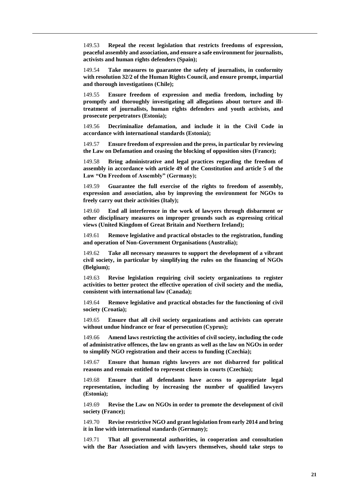149.53 **Repeal the recent legislation that restricts freedoms of expression, peaceful assembly and association, and ensure a safe environment for journalists, activists and human rights defenders (Spain);**

149.54 **Take measures to guarantee the safety of journalists, in conformity with resolution 32/2 of the Human Rights Council, and ensure prompt, impartial and thorough investigations (Chile);**

149.55 **Ensure freedom of expression and media freedom, including by promptly and thoroughly investigating all allegations about torture and illtreatment of journalists, human rights defenders and youth activists, and prosecute perpetrators (Estonia);**

149.56 **Decriminalize defamation, and include it in the Civil Code in accordance with international standards (Estonia);**

149.57 **Ensure freedom of expression and the press, in particular by reviewing the Law on Defamation and ceasing the blocking of opposition sites (France);**

149.58 **Bring administrative and legal practices regarding the freedom of assembly in accordance with article 49 of the Constitution and article 5 of the Law "On Freedom of Assembly" (Germany);**

149.59 **Guarantee the full exercise of the rights to freedom of assembly, expression and association, also by improving the environment for NGOs to freely carry out their activities (Italy);**

149.60 **End all interference in the work of lawyers through disbarment or other disciplinary measures on improper grounds such as expressing critical views (United Kingdom of Great Britain and Northern Ireland);**

149.61 **Remove legislative and practical obstacles to the registration, funding and operation of Non-Government Organisations (Australia);**

149.62 **Take all necessary measures to support the development of a vibrant civil society, in particular by simplifying the rules on the financing of NGOs (Belgium);**

149.63 **Revise legislation requiring civil society organizations to register activities to better protect the effective operation of civil society and the media, consistent with international law (Canada);**

149.64 **Remove legislative and practical obstacles for the functioning of civil society (Croatia);**

149.65 **Ensure that all civil society organizations and activists can operate without undue hindrance or fear of persecution (Cyprus);**

149.66 **Amend laws restricting the activities of civil society, including the code of administrative offences, the law on grants as well as the law on NGOs in order to simplify NGO registration and their access to funding (Czechia);**

149.67 **Ensure that human rights lawyers are not disbarred for political reasons and remain entitled to represent clients in courts (Czechia);**

149.68 **Ensure that all defendants have access to appropriate legal representation, including by increasing the number of qualified lawyers (Estonia);**

149.69 **Revise the Law on NGOs in order to promote the development of civil society (France);**

149.70 **Revise restrictive NGO and grant legislation from early 2014 and bring it in line with international standards (Germany);**

149.71 **That all governmental authorities, in cooperation and consultation with the Bar Association and with lawyers themselves, should take steps to**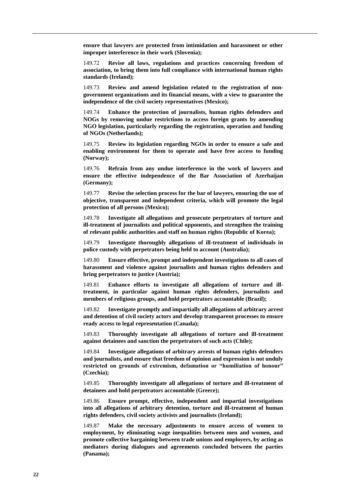**ensure that lawyers are protected from intimidation and harassment or other improper interference in their work (Slovenia);**

149.72 **Revise all laws, regulations and practices concerning freedom of association, to bring them into full compliance with international human rights standards (Ireland);**

149.73 **Review and amend legislation related to the registration of nongovernment organizations and its financial means, with a view to guarantee the independence of the civil society representatives (Mexico);**

149.74 **Enhance the protection of journalists, human rights defenders and NOGs by removing undue restrictions to access foreign grants by amending NGO legislation, particularly regarding the registration, operation and funding of NGOs (Netherlands);**

149.75 **Review its legislation regarding NGOs in order to ensure a safe and enabling environment for them to operate and have free access to funding (Norway);**

149.76 **Refrain from any undue interference in the work of lawyers and ensure the effective independence of the Bar Association of Azerbaijan (Germany);**

149.77 **Revise the selection process for the bar of lawyers, ensuring the use of objective, transparent and independent criteria, which will promote the legal protection of all persons (Mexico);**

149.78 **Investigate all allegations and prosecute perpetrators of torture and ill-treatment of journalists and political opponents, and strengthen the training of relevant public authorities and staff on human rights (Republic of Korea);**

149.79 **Investigate thoroughly allegations of ill-treatment of individuals in police custody with perpetrators being held to account (Australia);**

149.80 **Ensure effective, prompt and independent investigations to all cases of harassment and violence against journalists and human rights defenders and bring perpetrators to justice (Austria);**

149.81 **Enhance efforts to investigate all allegations of torture and illtreatment, in particular against human rights defenders, journalists and members of religious groups, and hold perpetrators accountable (Brazil);**

149.82 **Investigate promptly and impartially all allegations of arbitrary arrest and detention of civil society actors and develop transparent processes to ensure ready access to legal representation (Canada);**

149.83 **Thoroughly investigate all allegations of torture and ill-treatment against detainees and sanction the perpetrators of such acts (Chile);**

149.84 **Investigate allegations of arbitrary arrests of human rights defenders and journalists, and ensure that freedom of opinion and expression is not unduly restricted on grounds of extremism, defamation or "humiliation of honour" (Czechia);**

149.85 **Thoroughly investigate all allegations of torture and ill-treatment of detainees and hold perpetrators accountable (Greece);**

149.86 **Ensure prompt, effective, independent and impartial investigations into all allegations of arbitrary detention, torture and ill-treatment of human rights defenders, civil society activists and journalists (Ireland);**

149.87 **Make the necessary adjustments to ensure access of women to employment, by eliminating wage inequalities between men and women, and promote collective bargaining between trade unions and employers, by acting as mediators during dialogues and agreements concluded between the parties (Panama);**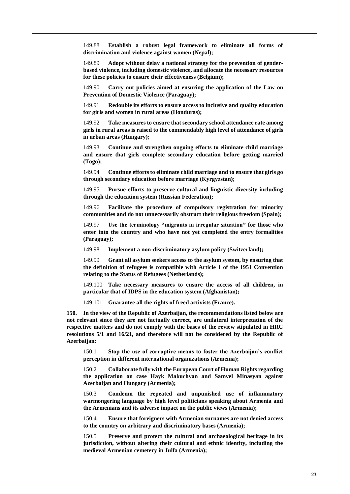149.88 **Establish a robust legal framework to eliminate all forms of discrimination and violence against women (Nepal);**

149.89 **Adopt without delay a national strategy for the prevention of genderbased violence, including domestic violence, and allocate the necessary resources for these policies to ensure their effectiveness (Belgium);**

149.90 **Carry out policies aimed at ensuring the application of the Law on Prevention of Domestic Violence (Paraguay);**

149.91 **Redouble its efforts to ensure access to inclusive and quality education for girls and women in rural areas (Honduras);**

149.92 **Take measures to ensure that secondary school attendance rate among girls in rural areas is raised to the commendably high level of attendance of girls in urban areas (Hungary);**

149.93 **Continue and strengthen ongoing efforts to eliminate child marriage and ensure that girls complete secondary education before getting married (Togo);**

149.94 **Continue efforts to eliminate child marriage and to ensure that girls go through secondary education before marriage (Kyrgyzstan);**

149.95 **Pursue efforts to preserve cultural and linguistic diversity including through the education system (Russian Federation);**

149.96 **Facilitate the procedure of compulsory registration for minority communities and do not unnecessarily obstruct their religious freedom (Spain);**

149.97 **Use the terminology "migrants in irregular situation" for those who enter into the country and who have not yet completed the entry formalities (Paraguay);**

149.98 **Implement a non-discriminatory asylum policy (Switzerland);**

149.99 **Grant all asylum seekers access to the asylum system, by ensuring that the definition of refugees is compatible with Article 1 of the 1951 Convention relating to the Status of Refugees (Netherlands);**

149.100 **Take necessary measures to ensure the access of all children, in particular that of IDPS in the education system (Afghanistan);**

149.101 **Guarantee all the rights of freed activists (France).**

**150. In the view of the Republic of Azerbaijan, the recommendations listed below are not relevant since they are not factually correct, are unilateral interpretation of the respective matters and do not comply with the bases of the review stipulated in HRC resolutions 5/1 and 16/21, and therefore will not be considered by the Republic of Azerbaijan:**

150.1 **Stop the use of corruptive means to foster the Azerbaijan's conflict perception in different international organizations (Armenia);**

150.2 **Collaborate fully with the European Court of Human Rights regarding the application on case Hayk Makuchyan and Samvel Minasyan against Azerbaijan and Hungary (Armenia);**

150.3 **Condemn the repeated and unpunished use of inflammatory warmongering language by high level politicians speaking about Armenia and the Armenians and its adverse impact on the public views (Armenia);**

150.4 **Ensure that foreigners with Armenian surnames are not denied access to the country on arbitrary and discriminatory bases (Armenia);**

150.5 **Preserve and protect the cultural and archaeological heritage in its jurisdiction, without altering their cultural and ethnic identity, including the medieval Armenian cemetery in Julfa (Armenia);**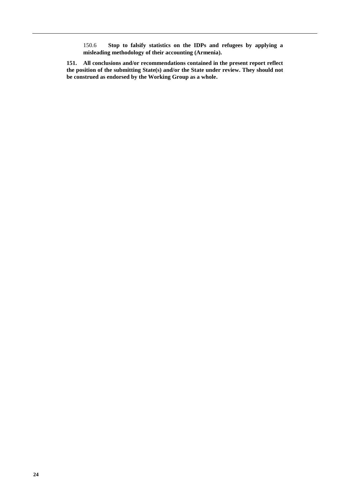150.6 **Stop to falsify statistics on the IDPs and refugees by applying a misleading methodology of their accounting (Armenia).**

**151. All conclusions and/or recommendations contained in the present report reflect the position of the submitting State(s) and/or the State under review. They should not be construed as endorsed by the Working Group as a whole.**